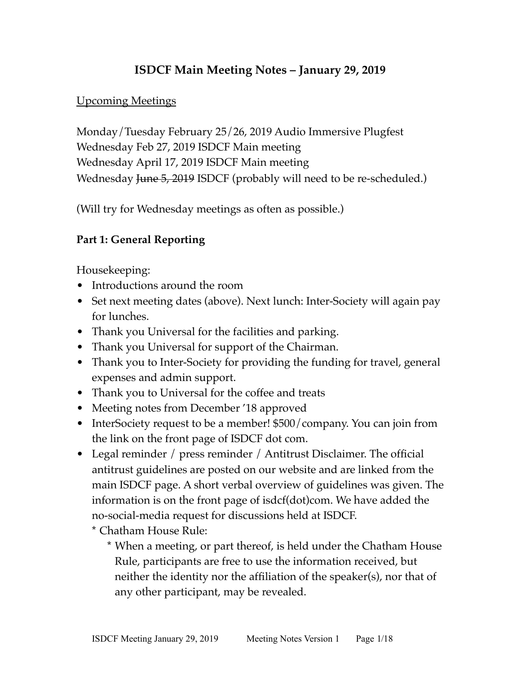## **ISDCF Main Meeting Notes – January 29, 2019**

#### Upcoming Meetings

Monday/Tuesday February 25/26, 2019 Audio Immersive Plugfest Wednesday Feb 27, 2019 ISDCF Main meeting Wednesday April 17, 2019 ISDCF Main meeting Wednesday June 5, 2019 ISDCF (probably will need to be re-scheduled.)

(Will try for Wednesday meetings as often as possible.)

#### **Part 1: General Reporting**

Housekeeping:

- Introductions around the room
- Set next meeting dates (above). Next lunch: Inter-Society will again pay for lunches.
- Thank you Universal for the facilities and parking.
- Thank you Universal for support of the Chairman.
- Thank you to Inter-Society for providing the funding for travel, general expenses and admin support.
- Thank you to Universal for the coffee and treats
- Meeting notes from December '18 approved
- InterSociety request to be a member! \$500/company. You can join from the link on the front page of ISDCF dot com.
- Legal reminder / press reminder / Antitrust Disclaimer. The official antitrust guidelines are posted on our website and are linked from the main ISDCF page. A short verbal overview of guidelines was given. The information is on the front page of isdcf(dot)com. We have added the no-social-media request for discussions held at ISDCF.
	- \* Chatham House Rule:
		- \* When a meeting, or part thereof, is held under the Chatham House Rule, participants are free to use the information received, but neither the identity nor the affiliation of the speaker(s), nor that of any other participant, may be revealed.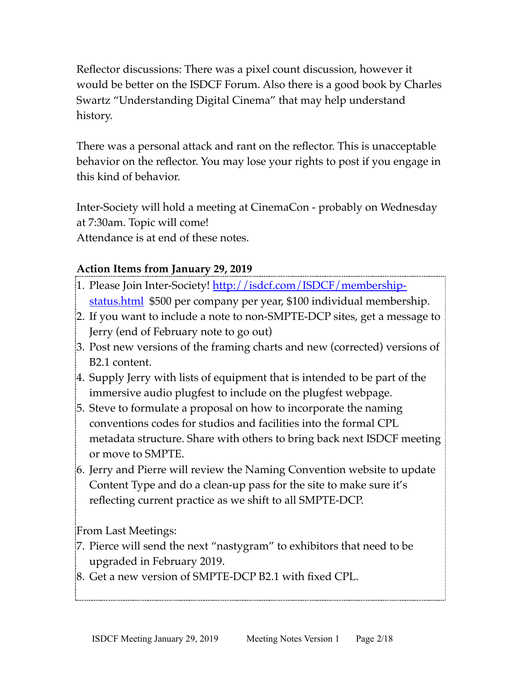Reflector discussions: There was a pixel count discussion, however it would be better on the ISDCF Forum. Also there is a good book by Charles Swartz "Understanding Digital Cinema" that may help understand history.

There was a personal attack and rant on the reflector. This is unacceptable behavior on the reflector. You may lose your rights to post if you engage in this kind of behavior.

Inter-Society will hold a meeting at CinemaCon - probably on Wednesday at 7:30am. Topic will come!

Attendance is at end of these notes.

## **Action Items from January 29, 2019**

- 1. Please Join Inter-Society! [http://isdcf.com/ISDCF/membership](http://isdcf.com/ISDCF/membership-status.html)[status.html](http://isdcf.com/ISDCF/membership-status.html) \$500 per company per year, \$100 individual membership.
- 2. If you want to include a note to non-SMPTE-DCP sites, get a message to Jerry (end of February note to go out)
- 3. Post new versions of the framing charts and new (corrected) versions of B2.1 content.
- 4. Supply Jerry with lists of equipment that is intended to be part of the immersive audio plugfest to include on the plugfest webpage.
- 5. Steve to formulate a proposal on how to incorporate the naming conventions codes for studios and facilities into the formal CPL metadata structure. Share with others to bring back next ISDCF meeting or move to SMPTE.
- 6. Jerry and Pierre will review the Naming Convention website to update Content Type and do a clean-up pass for the site to make sure it's reflecting current practice as we shift to all SMPTE-DCP.

From Last Meetings:

- 7. Pierce will send the next "nastygram" to exhibitors that need to be upgraded in February 2019.
- 8. Get a new version of SMPTE-DCP B2.1 with fixed CPL.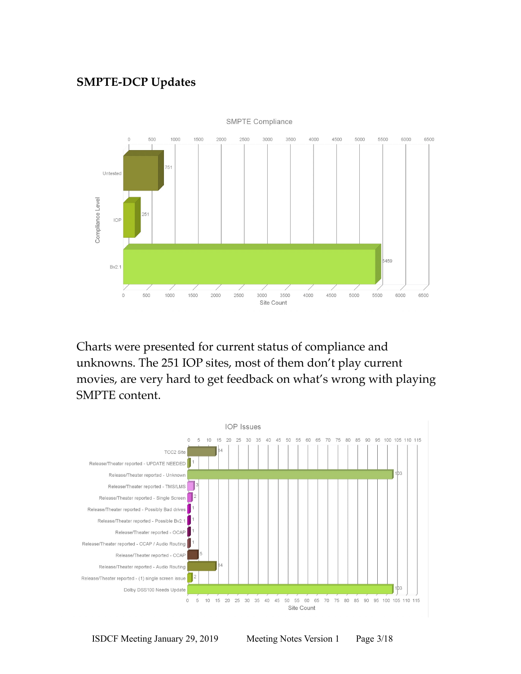## **SMPTE-DCP Updates**



Charts were presented for current status of compliance and unknowns. The 251 IOP sites, most of them don't play current movies, are very hard to get feedback on what's wrong with playing SMPTE content.

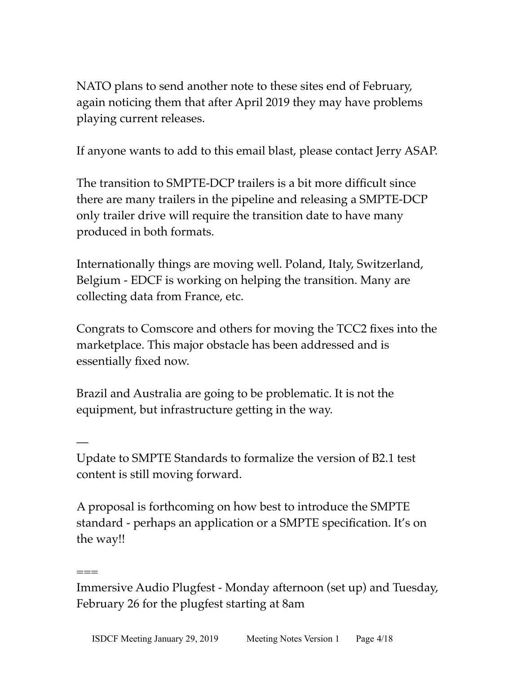NATO plans to send another note to these sites end of February, again noticing them that after April 2019 they may have problems playing current releases.

If anyone wants to add to this email blast, please contact Jerry ASAP.

The transition to SMPTE-DCP trailers is a bit more difficult since there are many trailers in the pipeline and releasing a SMPTE-DCP only trailer drive will require the transition date to have many produced in both formats.

Internationally things are moving well. Poland, Italy, Switzerland, Belgium - EDCF is working on helping the transition. Many are collecting data from France, etc.

Congrats to Comscore and others for moving the TCC2 fixes into the marketplace. This major obstacle has been addressed and is essentially fixed now.

Brazil and Australia are going to be problematic. It is not the equipment, but infrastructure getting in the way.

—

===

Update to SMPTE Standards to formalize the version of B2.1 test content is still moving forward.

A proposal is forthcoming on how best to introduce the SMPTE standard - perhaps an application or a SMPTE specification. It's on the way!!

Immersive Audio Plugfest - Monday afternoon (set up) and Tuesday, February 26 for the plugfest starting at 8am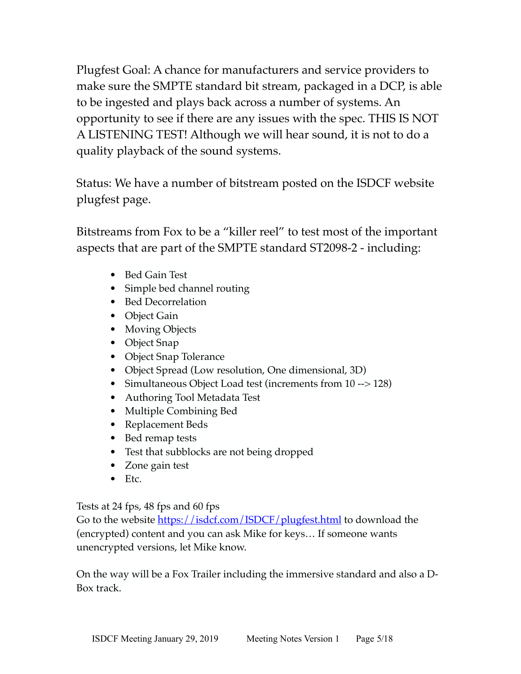Plugfest Goal: A chance for manufacturers and service providers to make sure the SMPTE standard bit stream, packaged in a DCP, is able to be ingested and plays back across a number of systems. An opportunity to see if there are any issues with the spec. THIS IS NOT A LISTENING TEST! Although we will hear sound, it is not to do a quality playback of the sound systems.

Status: We have a number of bitstream posted on the ISDCF website plugfest page.

Bitstreams from Fox to be a "killer reel" to test most of the important aspects that are part of the SMPTE standard ST2098-2 - including:

- Bed Gain Test
- Simple bed channel routing
- Bed Decorrelation
- Object Gain
- Moving Objects
- Object Snap
- Object Snap Tolerance
- Object Spread (Low resolution, One dimensional, 3D)
- Simultaneous Object Load test (increments from 10 --> 128)
- Authoring Tool Metadata Test
- Multiple Combining Bed
- Replacement Beds
- Bed remap tests
- Test that subblocks are not being dropped
- Zone gain test
- $\bullet$  Etc.

Tests at 24 fps, 48 fps and 60 fps

Go to the website<https://isdcf.com/ISDCF/plugfest.html>to download the (encrypted) content and you can ask Mike for keys… If someone wants unencrypted versions, let Mike know.

On the way will be a Fox Trailer including the immersive standard and also a D-Box track.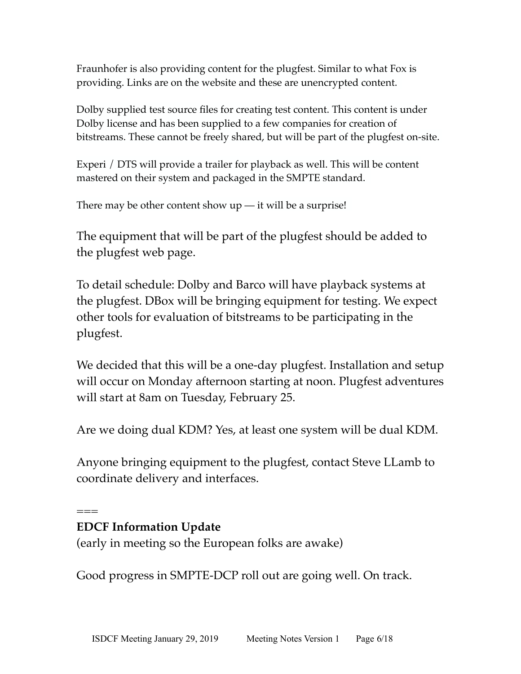Fraunhofer is also providing content for the plugfest. Similar to what Fox is providing. Links are on the website and these are unencrypted content.

Dolby supplied test source files for creating test content. This content is under Dolby license and has been supplied to a few companies for creation of bitstreams. These cannot be freely shared, but will be part of the plugfest on-site.

Experi / DTS will provide a trailer for playback as well. This will be content mastered on their system and packaged in the SMPTE standard.

There may be other content show  $up$  — it will be a surprise!

The equipment that will be part of the plugfest should be added to the plugfest web page.

To detail schedule: Dolby and Barco will have playback systems at the plugfest. DBox will be bringing equipment for testing. We expect other tools for evaluation of bitstreams to be participating in the plugfest.

We decided that this will be a one-day plugfest. Installation and setup will occur on Monday afternoon starting at noon. Plugfest adventures will start at 8am on Tuesday, February 25.

Are we doing dual KDM? Yes, at least one system will be dual KDM.

Anyone bringing equipment to the plugfest, contact Steve LLamb to coordinate delivery and interfaces.

===

## **EDCF Information Update**

(early in meeting so the European folks are awake)

Good progress in SMPTE-DCP roll out are going well. On track.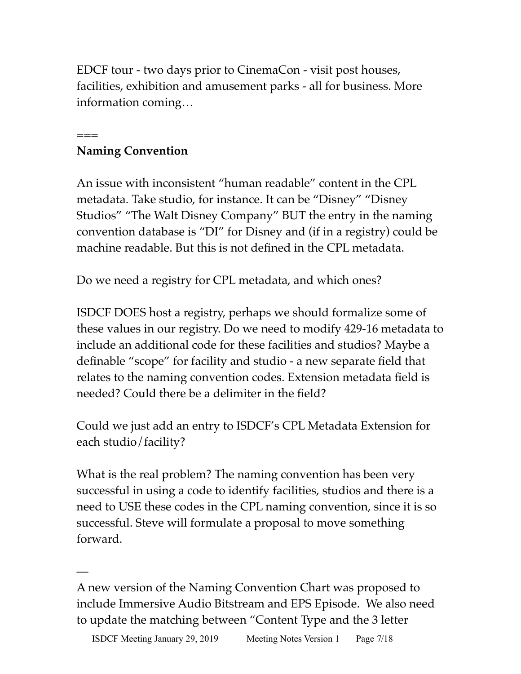EDCF tour - two days prior to CinemaCon - visit post houses, facilities, exhibition and amusement parks - all for business. More information coming…

#### === **Naming Convention**

—

An issue with inconsistent "human readable" content in the CPL metadata. Take studio, for instance. It can be "Disney" "Disney Studios" "The Walt Disney Company" BUT the entry in the naming convention database is "DI" for Disney and (if in a registry) could be machine readable. But this is not defined in the CPL metadata.

Do we need a registry for CPL metadata, and which ones?

ISDCF DOES host a registry, perhaps we should formalize some of these values in our registry. Do we need to modify 429-16 metadata to include an additional code for these facilities and studios? Maybe a definable "scope" for facility and studio - a new separate field that relates to the naming convention codes. Extension metadata field is needed? Could there be a delimiter in the field?

Could we just add an entry to ISDCF's CPL Metadata Extension for each studio/facility?

What is the real problem? The naming convention has been very successful in using a code to identify facilities, studios and there is a need to USE these codes in the CPL naming convention, since it is so successful. Steve will formulate a proposal to move something forward.

A new version of the Naming Convention Chart was proposed to include Immersive Audio Bitstream and EPS Episode. We also need to update the matching between "Content Type and the 3 letter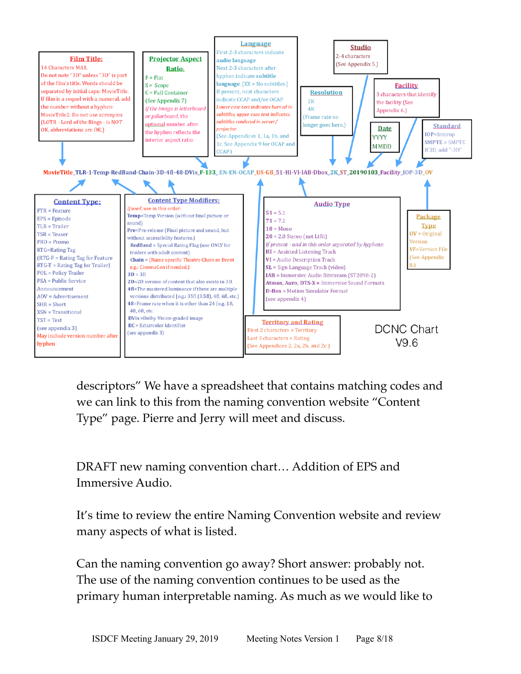

descriptors" We have a spreadsheet that contains matching codes and we can link to this from the naming convention website "Content Type" page. Pierre and Jerry will meet and discuss.

DRAFT new naming convention chart… Addition of EPS and Immersive Audio.

It's time to review the entire Naming Convention website and review many aspects of what is listed.

Can the naming convention go away? Short answer: probably not. The use of the naming convention continues to be used as the primary human interpretable naming. As much as we would like to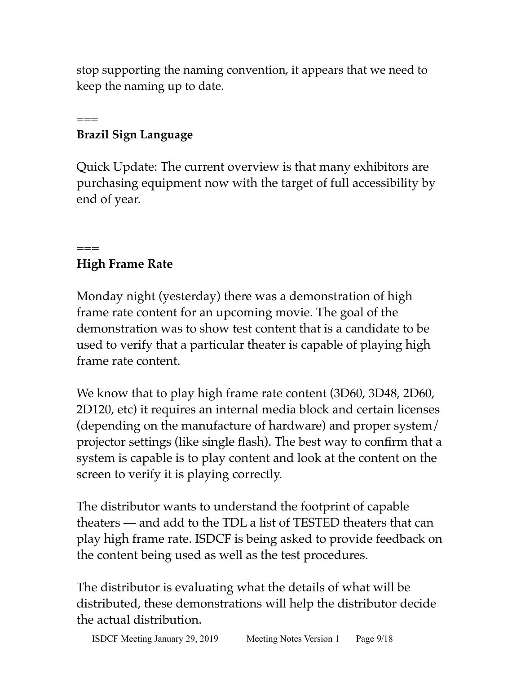stop supporting the naming convention, it appears that we need to keep the naming up to date.

#### === **Brazil Sign Language**

Quick Update: The current overview is that many exhibitors are purchasing equipment now with the target of full accessibility by end of year.

# **High Frame Rate**

 $===$ 

Monday night (yesterday) there was a demonstration of high frame rate content for an upcoming movie. The goal of the demonstration was to show test content that is a candidate to be used to verify that a particular theater is capable of playing high frame rate content.

We know that to play high frame rate content (3D60, 3D48, 2D60, 2D120, etc) it requires an internal media block and certain licenses (depending on the manufacture of hardware) and proper system/ projector settings (like single flash). The best way to confirm that a system is capable is to play content and look at the content on the screen to verify it is playing correctly.

The distributor wants to understand the footprint of capable theaters — and add to the TDL a list of TESTED theaters that can play high frame rate. ISDCF is being asked to provide feedback on the content being used as well as the test procedures.

The distributor is evaluating what the details of what will be distributed, these demonstrations will help the distributor decide the actual distribution.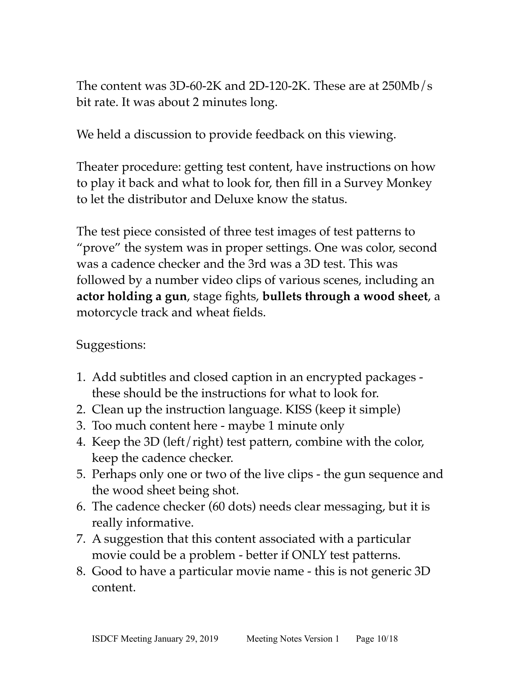The content was 3D-60-2K and 2D-120-2K. These are at 250Mb/s bit rate. It was about 2 minutes long.

We held a discussion to provide feedback on this viewing.

Theater procedure: getting test content, have instructions on how to play it back and what to look for, then fill in a Survey Monkey to let the distributor and Deluxe know the status.

The test piece consisted of three test images of test patterns to "prove" the system was in proper settings. One was color, second was a cadence checker and the 3rd was a 3D test. This was followed by a number video clips of various scenes, including an **actor holding a gun**, stage fights, **bullets through a wood sheet**, a motorcycle track and wheat fields.

Suggestions:

- 1. Add subtitles and closed caption in an encrypted packages these should be the instructions for what to look for.
- 2. Clean up the instruction language. KISS (keep it simple)
- 3. Too much content here maybe 1 minute only
- 4. Keep the 3D (left/right) test pattern, combine with the color, keep the cadence checker.
- 5. Perhaps only one or two of the live clips the gun sequence and the wood sheet being shot.
- 6. The cadence checker (60 dots) needs clear messaging, but it is really informative.
- 7. A suggestion that this content associated with a particular movie could be a problem - better if ONLY test patterns.
- 8. Good to have a particular movie name this is not generic 3D content.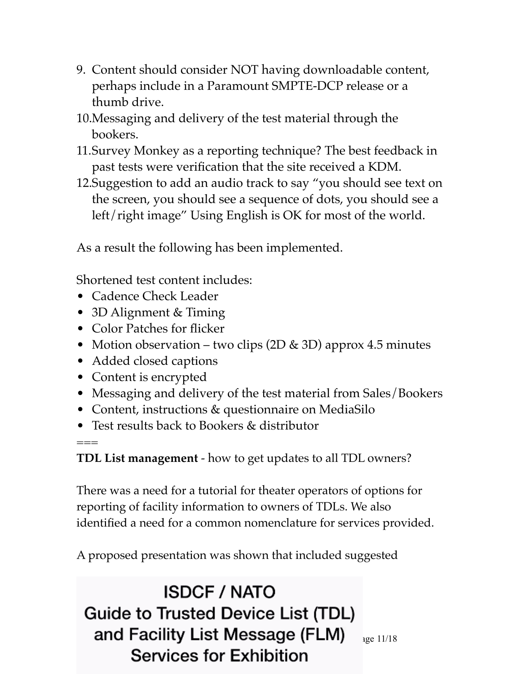- 9. Content should consider NOT having downloadable content, perhaps include in a Paramount SMPTE-DCP release or a thumb drive.
- 10.Messaging and delivery of the test material through the bookers.
- 11.Survey Monkey as a reporting technique? The best feedback in past tests were verification that the site received a KDM.
- 12.Suggestion to add an audio track to say "you should see text on the screen, you should see a sequence of dots, you should see a left/right image" Using English is OK for most of the world.

As a result the following has been implemented.

Shortened test content includes:

- Cadence Check Leader
- 3D Alignment & Timing
- Color Patches for flicker
- Motion observation two clips (2D & 3D) approx 4.5 minutes
- Added closed captions
- Content is encrypted

===

- Messaging and delivery of the test material from Sales/Bookers
- Content, instructions & questionnaire on MediaSilo
- Test results back to Bookers & distributor

**TDL List management** - how to get updates to all TDL owners?

There was a need for a tutorial for theater operators of options for reporting of facility information to owners of TDLs. We also identified a need for a common nomenclature for services provided.

A proposed presentation was shown that included suggested

**ISDCF / NATO Guide to Trusted Device List (TDL)** and Facility List Message (FLM)  $_{14}$ <sub>age 11/18</sub> **Services for Exhibition**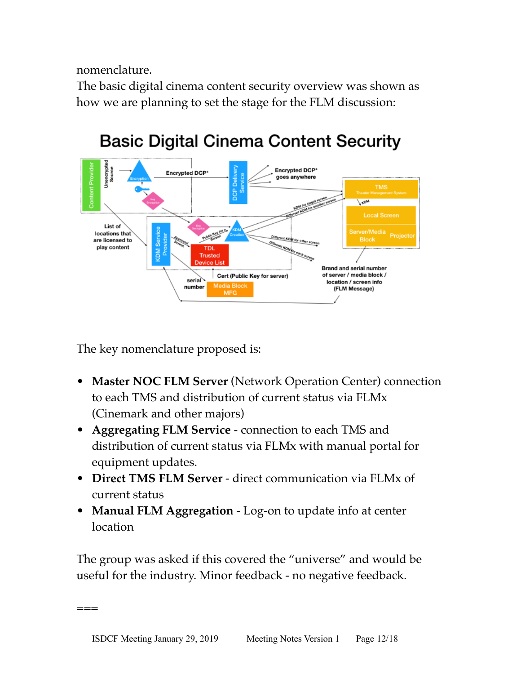nomenclature.

The basic digital cinema content security overview was shown as how we are planning to set the stage for the FLM discussion:



# **Basic Digital Cinema Content Security**

The key nomenclature proposed is:

===

- **Master NOC FLM Server** (Network Operation Center) connection to each TMS and distribution of current status via FLMx (Cinemark and other majors)
- **Aggregating FLM Service** connection to each TMS and distribution of current status via FLMx with manual portal for equipment updates.
- **Direct TMS FLM Server** direct communication via FLMx of current status
- **Manual FLM Aggregation** Log-on to update info at center location

The group was asked if this covered the "universe" and would be useful for the industry. Minor feedback - no negative feedback.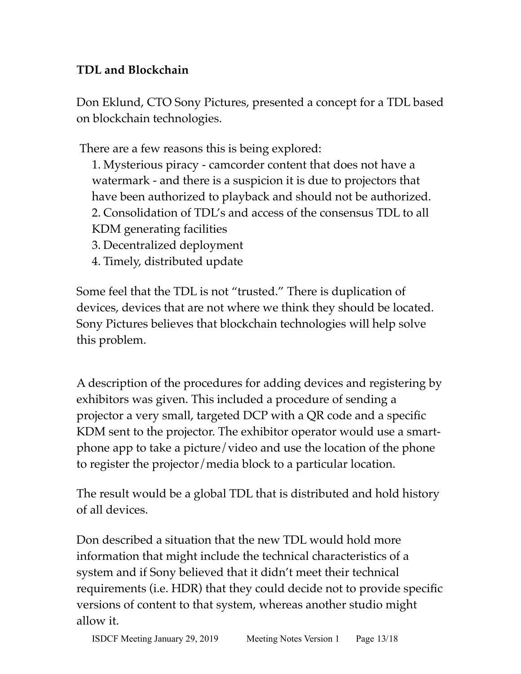# **TDL and Blockchain**

Don Eklund, CTO Sony Pictures, presented a concept for a TDL based on blockchain technologies.

There are a few reasons this is being explored:

1. Mysterious piracy - camcorder content that does not have a watermark - and there is a suspicion it is due to projectors that have been authorized to playback and should not be authorized. 2. Consolidation of TDL's and access of the consensus TDL to all KDM generating facilities

- 3. Decentralized deployment
- 4. Timely, distributed update

Some feel that the TDL is not "trusted." There is duplication of devices, devices that are not where we think they should be located. Sony Pictures believes that blockchain technologies will help solve this problem.

A description of the procedures for adding devices and registering by exhibitors was given. This included a procedure of sending a projector a very small, targeted DCP with a QR code and a specific KDM sent to the projector. The exhibitor operator would use a smartphone app to take a picture/video and use the location of the phone to register the projector/media block to a particular location.

The result would be a global TDL that is distributed and hold history of all devices.

Don described a situation that the new TDL would hold more information that might include the technical characteristics of a system and if Sony believed that it didn't meet their technical requirements (i.e. HDR) that they could decide not to provide specific versions of content to that system, whereas another studio might allow it.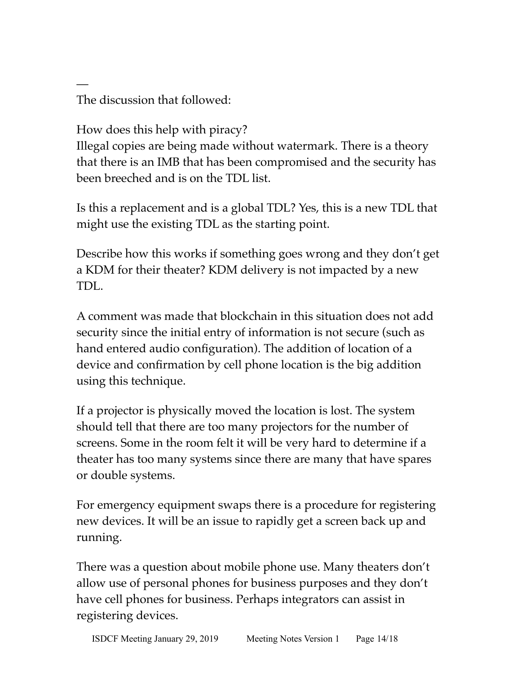The discussion that followed:

—

How does this help with piracy?

Illegal copies are being made without watermark. There is a theory that there is an IMB that has been compromised and the security has been breeched and is on the TDL list.

Is this a replacement and is a global TDL? Yes, this is a new TDL that might use the existing TDL as the starting point.

Describe how this works if something goes wrong and they don't get a KDM for their theater? KDM delivery is not impacted by a new TDL.

A comment was made that blockchain in this situation does not add security since the initial entry of information is not secure (such as hand entered audio configuration). The addition of location of a device and confirmation by cell phone location is the big addition using this technique.

If a projector is physically moved the location is lost. The system should tell that there are too many projectors for the number of screens. Some in the room felt it will be very hard to determine if a theater has too many systems since there are many that have spares or double systems.

For emergency equipment swaps there is a procedure for registering new devices. It will be an issue to rapidly get a screen back up and running.

There was a question about mobile phone use. Many theaters don't allow use of personal phones for business purposes and they don't have cell phones for business. Perhaps integrators can assist in registering devices.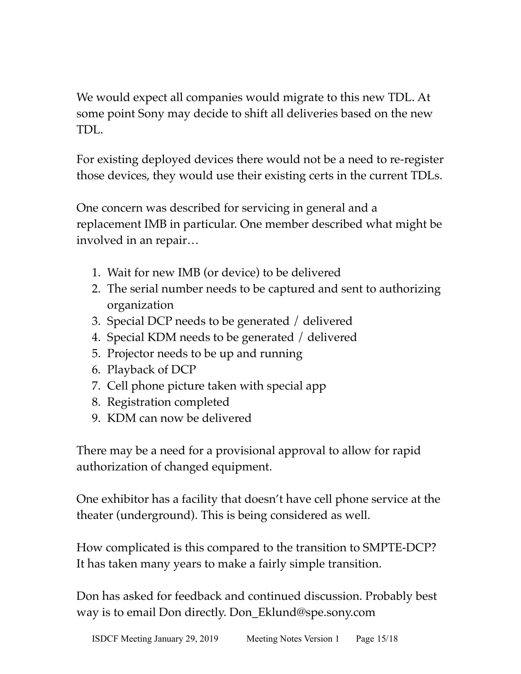We would expect all companies would migrate to this new TDL. At some point Sony may decide to shift all deliveries based on the new TDL.

For existing deployed devices there would not be a need to re-register those devices, they would use their existing certs in the current TDLs.

One concern was described for servicing in general and a replacement IMB in particular. One member described what might be involved in an repair…

- 1. Wait for new IMB (or device) to be delivered
- 2. The serial number needs to be captured and sent to authorizing organization
- 3. Special DCP needs to be generated / delivered
- 4. Special KDM needs to be generated / delivered
- 5. Projector needs to be up and running
- 6. Playback of DCP
- 7. Cell phone picture taken with special app
- 8. Registration completed
- 9. KDM can now be delivered

There may be a need for a provisional approval to allow for rapid authorization of changed equipment.

One exhibitor has a facility that doesn't have cell phone service at the theater (underground). This is being considered as well.

How complicated is this compared to the transition to SMPTE-DCP? It has taken many years to make a fairly simple transition.

Don has asked for feedback and continued discussion. Probably best way is to email Don directly. Don\_Eklund@spe.sony.com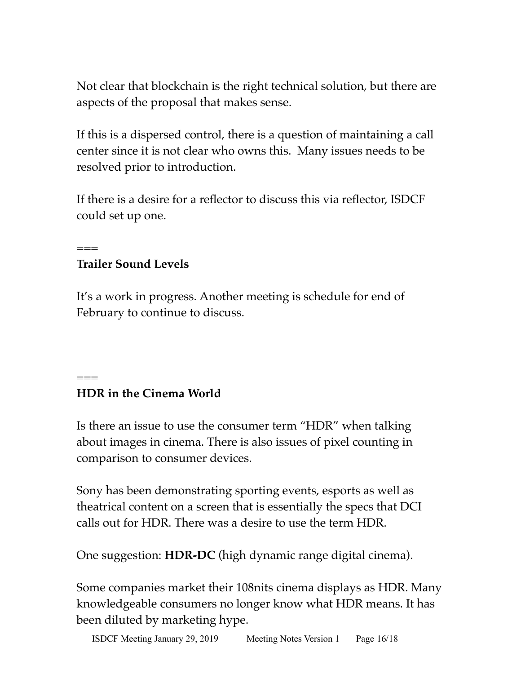Not clear that blockchain is the right technical solution, but there are aspects of the proposal that makes sense.

If this is a dispersed control, there is a question of maintaining a call center since it is not clear who owns this. Many issues needs to be resolved prior to introduction.

If there is a desire for a reflector to discuss this via reflector, ISDCF could set up one.

# **Trailer Sound Levels**

 $=$ 

===

It's a work in progress. Another meeting is schedule for end of February to continue to discuss.

# **HDR in the Cinema World**

Is there an issue to use the consumer term "HDR" when talking about images in cinema. There is also issues of pixel counting in comparison to consumer devices.

Sony has been demonstrating sporting events, esports as well as theatrical content on a screen that is essentially the specs that DCI calls out for HDR. There was a desire to use the term HDR.

One suggestion: **HDR-DC** (high dynamic range digital cinema).

Some companies market their 108nits cinema displays as HDR. Many knowledgeable consumers no longer know what HDR means. It has been diluted by marketing hype.